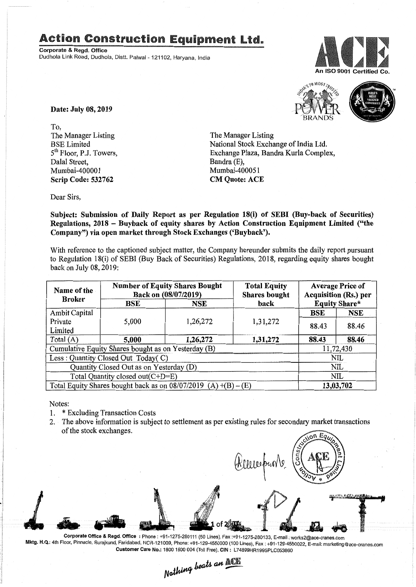## Action Construction Equipment Ltd..

Corporate & Regd. Office Dudhola Link Road, Dudhola, Distt. Palwal - 121102, Haryana, India



10 MOST TRUS

Date: July 08, 2019

To, The Manager Listing BSE Limited 5th Floor, PJ. Towers, Dalal Street, Mumbai-400001 Scrip Code: 532762

The Manager Listing National Stock Exchange of India Ltd. Exchange Plaza, Bandra Kurla Complex, Bandra (E), Mumbai-400051 CM Quote: ACE

Dear Sirs,

Subject: Submission of Daily Report as per Regulation 18(i) of SEBI (Buy-back of Securities) Regulations, 2018 - Buyback of equity shares by Action Construction Equipment Limited ("the Company") via open market through Stock Exchanges ('Buyback').

With reference to the captioned subject matter, the Company hereunder submits the daily report pursuant to Regulation 18(i) of SEBI (Buy Back of Securities) Regulations, 2018, regarding equity shares bought back on July 08, 2019:

| Name of the<br><b>Broker</b>                                      | <b>Number of Equity Shares Bought</b><br>Back on (08/07/2019) |          | <b>Total Equity</b><br><b>Shares bought</b> | <b>Average Price of</b><br><b>Acquisition (Rs.) per</b> |            |  |
|-------------------------------------------------------------------|---------------------------------------------------------------|----------|---------------------------------------------|---------------------------------------------------------|------------|--|
|                                                                   | BSE                                                           | NSE      | back                                        | <b>Equity Share*</b>                                    |            |  |
| Ambit Capital                                                     |                                                               |          |                                             | <b>BSE</b>                                              | <b>NSE</b> |  |
| Private                                                           | 5,000                                                         | 1,26,272 | 1,31,272                                    | 88.43                                                   | 88.46      |  |
| Limited                                                           |                                                               |          |                                             |                                                         |            |  |
| Total $(A)$                                                       | 5,000                                                         | 1,26,272 | 1,31,272                                    | 88.43                                                   | 88.46      |  |
| Cumulative Equity Shares bought as on Yesterday (B)               |                                                               |          |                                             |                                                         | 11,72,430  |  |
| Less: Quantity Closed Out Today(C)                                |                                                               |          |                                             | NIL                                                     |            |  |
| Quantity Closed Out as on Yesterday (D)                           |                                                               |          |                                             | <b>NIL</b>                                              |            |  |
| Total Quantity closed out(C+D=E)                                  |                                                               |          |                                             |                                                         | NIL        |  |
| Total Equity Shares bought back as on $08/07/2019$ (A) +(B) – (E) |                                                               |          |                                             | 13,03,702                                               |            |  |

Notes:

 $\mathbb{R}^+$ 

 $\overline{\phantom{a}}$ 

- 1. \* Excluding Transaction Costs
- 2. The above information is subject to settlement as per existing rules for secondary market transactions of the stock exchanges.

Corporate Office & Regd. Office: Phone: +91-1275-280111 (50 Lines), Fax:+91-1275-280133, E-mail: works2@ace-cranes.com *~ r*

Mktg. H.Q.: 4th Floor, Pinnacle, Surajkund, Faridabad, NCR-121009, Phone: +91-129-4550000 (100 Lines), Fax: +91-129-4550022, E-mail:marketing@ace-cranes.com Customer Care No.: 18001800004 (Toil Free), CIN: L74899HR1995PLC053860

Nothing beats an ACTE